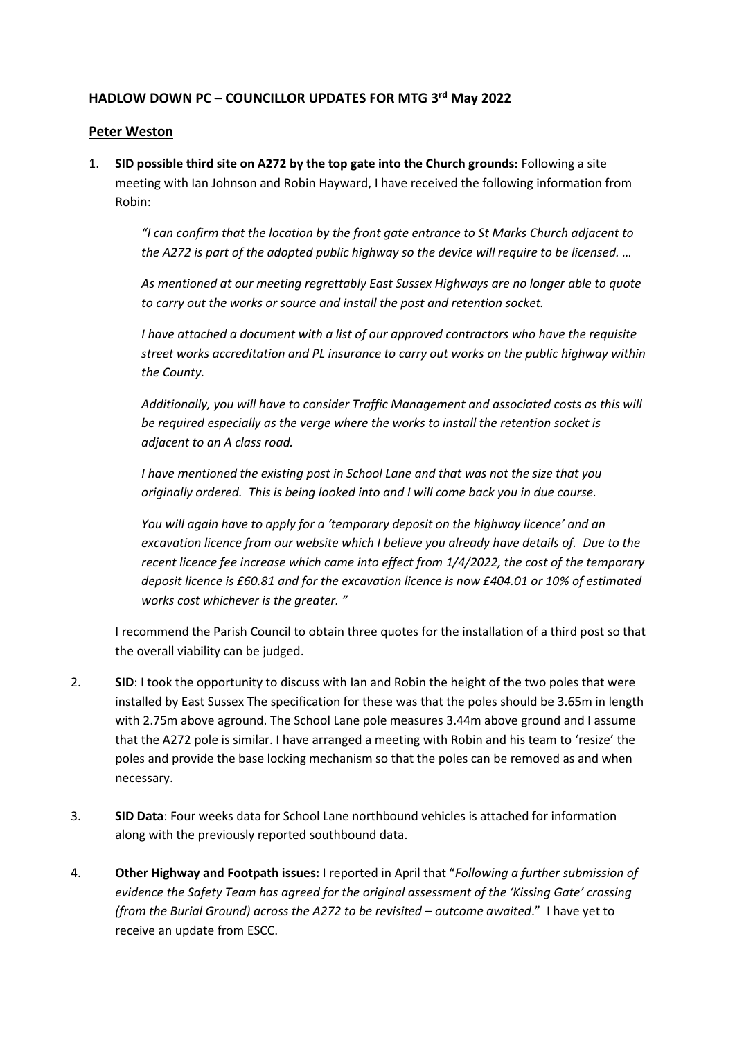## **HADLOW DOWN PC – COUNCILLOR UPDATES FOR MTG 3 rd May 2022**

## **Peter Weston**

1. **SID possible third site on A272 by the top gate into the Church grounds:** Following a site meeting with Ian Johnson and Robin Hayward, I have received the following information from Robin:

*"I can confirm that the location by the front gate entrance to St Marks Church adjacent to the A272 is part of the adopted public highway so the device will require to be licensed. …*

*As mentioned at our meeting regrettably East Sussex Highways are no longer able to quote to carry out the works or source and install the post and retention socket.*

*I have attached a document with a list of our approved contractors who have the requisite street works accreditation and PL insurance to carry out works on the public highway within the County.*

*Additionally, you will have to consider Traffic Management and associated costs as this will be required especially as the verge where the works to install the retention socket is adjacent to an A class road.*

*I have mentioned the existing post in School Lane and that was not the size that you originally ordered. This is being looked into and I will come back you in due course.*

*You will again have to apply for a 'temporary deposit on the highway licence' and an excavation licence from our website which I believe you already have details of. Due to the recent licence fee increase which came into effect from 1/4/2022, the cost of the temporary deposit licence is £60.81 and for the excavation licence is now £404.01 or 10% of estimated works cost whichever is the greater. "*

I recommend the Parish Council to obtain three quotes for the installation of a third post so that the overall viability can be judged.

- 2. **SID**: I took the opportunity to discuss with Ian and Robin the height of the two poles that were installed by East Sussex The specification for these was that the poles should be 3.65m in length with 2.75m above aground. The School Lane pole measures 3.44m above ground and I assume that the A272 pole is similar. I have arranged a meeting with Robin and his team to 'resize' the poles and provide the base locking mechanism so that the poles can be removed as and when necessary.
- 3. **SID Data**: Four weeks data for School Lane northbound vehicles is attached for information along with the previously reported southbound data.
- 4. **Other Highway and Footpath issues:** I reported in April that "*Following a further submission of evidence the Safety Team has agreed for the original assessment of the 'Kissing Gate' crossing (from the Burial Ground) across the A272 to be revisited – outcome awaited*." I have yet to receive an update from ESCC.